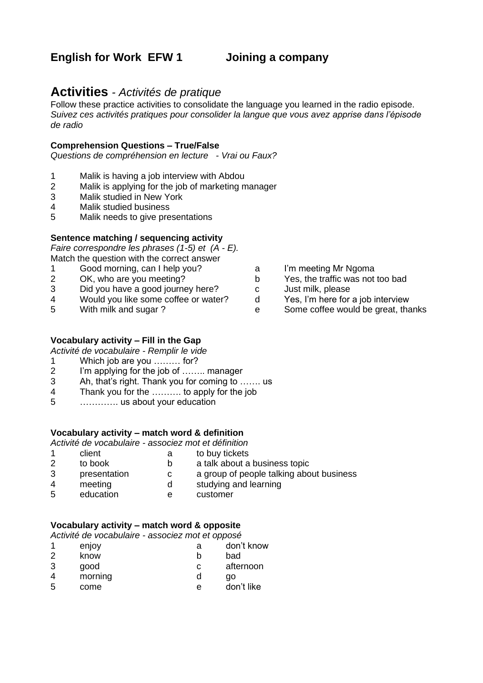# **English for Work EFW 1 Joining a company**

# **Activities** *- Activités de pratique*

Follow these practice activities to consolidate the language you learned in the radio episode. *Suivez ces activités pratiques pour consolider la langue que vous avez apprise dans l'épisode de radio*

#### **Comprehension Questions – True/False**

*Questions de compréhension en lecture - Vrai ou Faux?*

- 1 Malik is having a job interview with Abdou
- 2 Malik is applying for the job of marketing manager
- 3 Malik studied in New York
- 4 Malik studied business
- 5 Malik needs to give presentations

### **Sentence matching / sequencing activity**

*Faire correspondre les phrases (1-5) et (A - E).* Match the question with the correct answer

- 1 Good morning, can I help you? a I'm meeting Mr Ngoma
- 
- 
- 3 Did you have a good journey here?<br>
4 Would you like some coffee or water? d Yes. I'm here for a job interview 4 Would you like some coffee or water? d
- 

### **Vocabulary activity – Fill in the Gap**

*Activité de vocabulaire - Remplir le vide*

- 1 Which job are you ……… for?
- 2 I'm applying for the job of …….. manager
- 3 Ah, that's right. Thank you for coming to ……. us
- 4 Thank you for the ………. to apply for the job
- 5 …………. us about your education

### **Vocabulary activity – match word & definition**

*Activité de vocabulaire - associez mot et définition*

- 1 client a to buy tickets
- 2 to book b a talk about a business topic
- 3 presentation c a group of people talking about business<br>4 meeting d studying and learning
	- meeting d studying and learning
- 5 education e customer

### **Vocabulary activity – match word & opposite**

*Activité de vocabulaire - associez mot et opposé*

- 1 enjoy a don't know<br>2 know b had 2 know b bad 3 good c afternoon 4 morning d go
- 5 come e don't like

- 
- 2 OK, who are you meeting? b Yes, the traffic was not too bad
	-
	-
- 5 With milk and sugar ? e Some coffee would be great, thanks